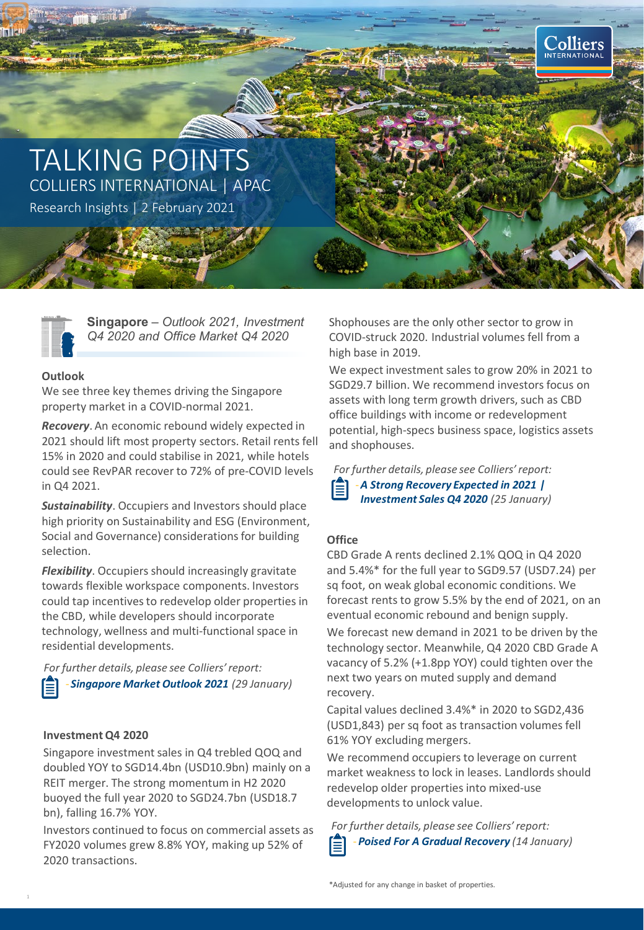



**Singapore** – *Outlook 2021, Investment Q4 2020 and Office Market Q4 2020*

# **Outlook**

We see three key themes driving the Singapore property market in a COVID-normal 2021.

*Recovery*. An economic rebound widely expected in 2021 should lift most property sectors. Retail rents fell 15% in 2020 and could stabilise in 2021, while hotels could see RevPAR recover to 72% of pre-COVID levels in Q4 2021.

*Sustainability*. Occupiers and Investors should place high priority on Sustainability and ESG (Environment, Social and Governance) considerations for building selection.

*Flexibility*. Occupiers should increasingly gravitate towards flexible workspace components. Investors could tap incentives to redevelop older properties in the CBD, while developers should incorporate technology, wellness and multi-functional space in residential developments.

- *Singapore Market Outlook 2021 (29 January) For further details, please see Colliers' report:*

## **Investment Q4 2020**

Singapore investment sales in Q4 trebled QOQ and doubled YOY to SGD14.4bn (USD10.9bn) mainly on a REIT merger. The strong momentum in H2 2020 buoyed the full year 2020 to SGD24.7bn (USD18.7 bn), falling 16.7% YOY.

Investors continued to focus on commercial assets as FY2020 volumes grew 8.8% YOY, making up 52% of 2020 transactions.

Shophouses are the only other sector to grow in COVID-struck 2020. Industrial volumes fell from a high base in 2019.

We expect investment sales to grow 20% in 2021 to SGD29.7 billion. We recommend investors focus on assets with long term growth drivers, such as CBD office buildings with income or redevelopment potential, high-specs business space, logistics assets and shophouses.

-*A Strong Recovery Expected in 2021 | Investment Sales Q4 2020 (25 January) For further details, please see Colliers' report:*

# **Office**

CBD Grade A rents declined 2.1% QOQ in Q4 2020 and 5.4%\* for the full year to SGD9.57 (USD7.24) per sq foot, on weak global economic conditions. We forecast rents to grow 5.5% by the end of 2021, on an eventual economic rebound and benign supply.

We forecast new demand in 2021 to be driven by the technology sector. Meanwhile, Q4 2020 CBD Grade A vacancy of 5.2% (+1.8pp YOY) could tighten over the next two years on muted supply and demand recovery.

Capital values declined 3.4%\* in 2020 to SGD2,436 (USD1,843) per sq foot as transaction volumes fell 61% YOY excluding mergers.

We recommend occupiers to leverage on current market weakness to lock in leases. Landlords should redevelop older properties into mixed-use developments to unlock value.

-*Poised For A Gradual Recovery (14 January) For further details, please see Colliers' report:*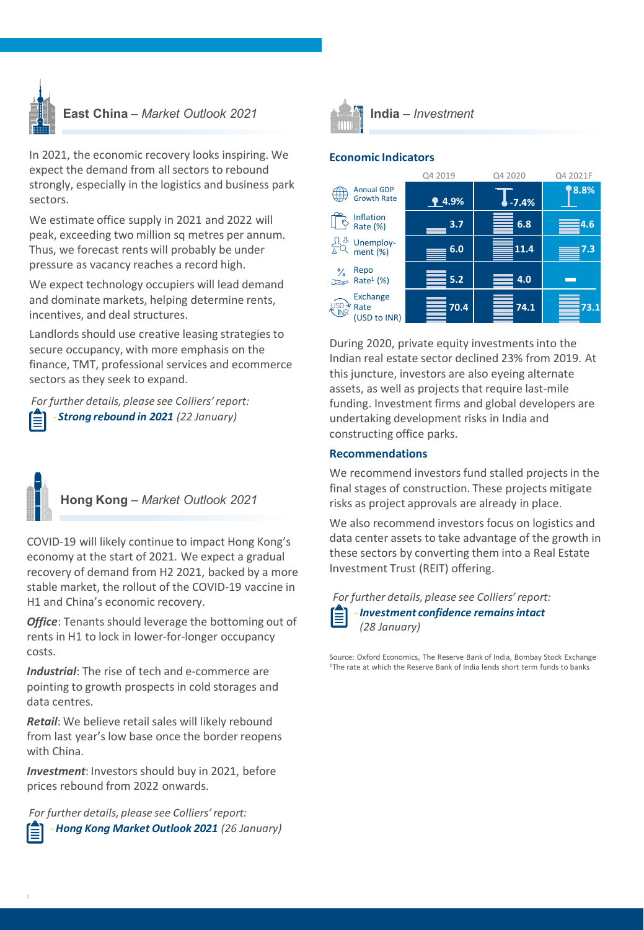

**East China** *– Market Outlook 2021* **India** *– Investment*

In 2021, the economic recovery looks inspiring. We expect the demand from all sectors to rebound strongly, especially in the logistics and business park sectors.

We estimate office supply in 2021 and 2022 will peak, exceeding two million sq metres per annum. Thus, we forecast rents will probably be under pressure as vacancy reaches a record high.

We expect technology occupiers will lead demand and dominate markets, helping determine rents, incentives, and deal structures.

Landlords should use creative leasing strategies to secure occupancy, with more emphasis on the finance, TMT, professional services and ecommerce sectors as they seek to expand.

- *Strong rebound in 2021 (22 January) For further details, please see Colliers' report:*

**Hong Kong** *– Market Outlook 2021*

COVID-19 will likely continue to impact Hong Kong's economy at the start of 2021. We expect a gradual recovery of demand from H2 2021, backed by a more stable market, the rollout of the COVID-19 vaccine in H1 and China's economic recovery.

**Office**: Tenants should leverage the bottoming out of rents in H1 to lock in lower-for-longer occupancy costs.

*Industrial*: The rise of tech and e-commerce are pointing to growth prospects in cold storages and data centres.

*Retail*: We believe retail sales will likely rebound from last year's low base once the border reopens with China.

*Investment*: Investors should buy in 2021, before prices rebound from 2022 onwards.

*For further details, please see Colliers' report:*





# **Economic Indicators**



During 2020, private equity investments into the Indian real estate sector declined 23% from 2019. At this juncture, investors are also eyeing alternate assets, as well as projects that require last-mile funding. Investment firms and global developers are undertaking development risks in India and constructing office parks.

## **Recommendations**

We recommend investors fund stalled projects in the final stages of construction. These projects mitigate risks as project approvals are already in place.

We also recommend investors focus on logistics and data center assets to take advantage of the growth in these sectors by converting them into a Real Estate Investment Trust (REIT) offering.

-*Investment confidence remains intact (28 January) For further details, please see Colliers' report:*

Source: Oxford Economics, The Reserve Bank of India, Bombay Stock Exchange<br><sup>1</sup>The rate at which the Reserve Bank of India lends short term funds to banks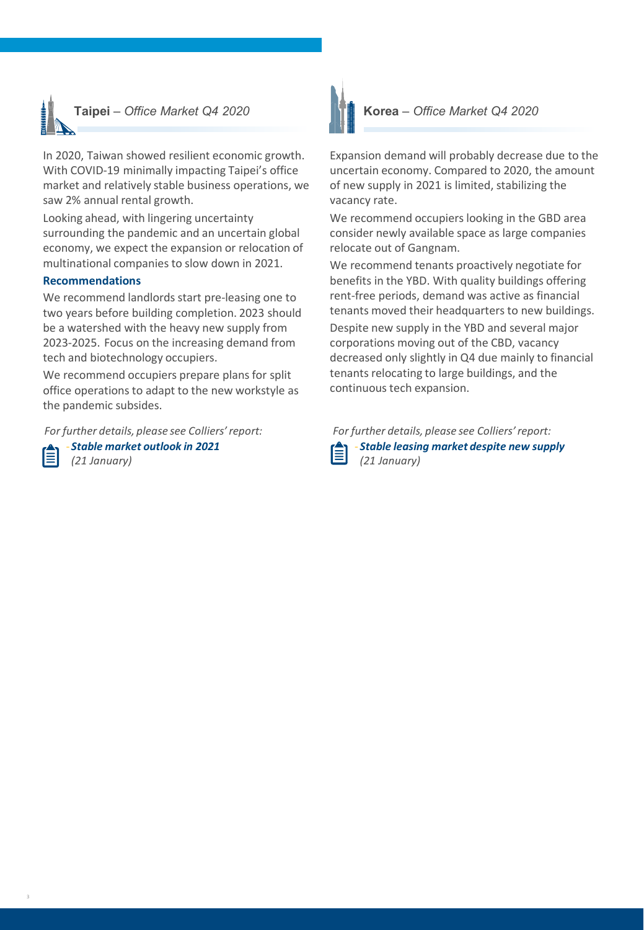

In 2020, Taiwan showed resilient economic growth. With COVID-19 minimally impacting Taipei's office market and relatively stable business operations, we saw 2% annual rental growth.

Looking ahead, with lingering uncertainty surrounding the pandemic and an uncertain global economy, we expect the expansion or relocation of multinational companies to slow down in 2021.

### **Recommendations**

We recommend landlords start pre-leasing one to two years before building completion. 2023 should be a watershed with the heavy new supply from 2023-2025. Focus on the increasing demand from tech and biotechnology occupiers.

We recommend occupiers prepare plans for split office operations to adapt to the new workstyle as the pandemic subsides.

*For further details, please see Colliers' report:*

- *Stable market outlook in 2021 (21 January)*



Expansion demand will probably decrease due to the uncertain economy. Compared to 2020, the amount of new supply in 2021 is limited, stabilizing the vacancy rate.

We recommend occupiers looking in the GBD area consider newly available space as large companies relocate out of Gangnam.

We recommend tenants proactively negotiate for benefits in the YBD. With quality buildings offering rent-free periods, demand was active as financial tenants moved their headquarters to new buildings. Despite new supply in the YBD and several major corporations moving out of the CBD, vacancy decreased only slightly in Q4 due mainly to financial tenants relocating to large buildings, and the continuous tech expansion.

| further details, ple  |  |
|-----------------------|--|
| - Stable leasing n    |  |
| $124$ $1 - 1 - 1 - 1$ |  |

- *Stable leasing market despite new supply (21 January) For further details, please see Colliers' report:*